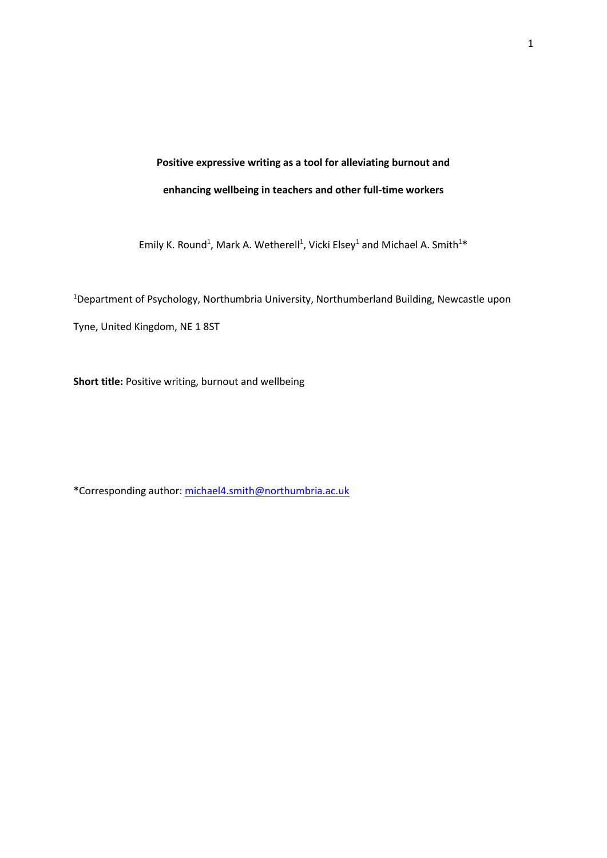# **Positive expressive writing as a tool for alleviating burnout and enhancing wellbeing in teachers and other full-time workers**

Emily K. Round<sup>1</sup>, Mark A. Wetherell<sup>1</sup>, Vicki Elsey<sup>1</sup> and Michael A. Smith<sup>1\*</sup>

<sup>1</sup>Department of Psychology, Northumbria University, Northumberland Building, Newcastle upon Tyne, United Kingdom, NE 1 8ST

**Short title:** Positive writing, burnout and wellbeing

\*Corresponding author: [michael4.smith@northumbria.ac.uk](mailto:michael4.smith@northumbria.ac.uk)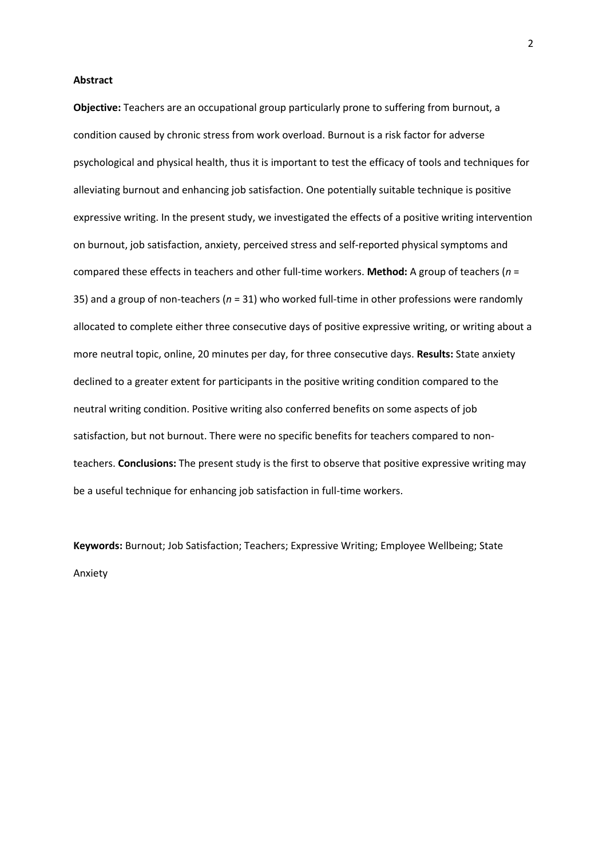#### **Abstract**

**Objective:** Teachers are an occupational group particularly prone to suffering from burnout, a condition caused by chronic stress from work overload. Burnout is a risk factor for adverse psychological and physical health, thus it is important to test the efficacy of tools and techniques for alleviating burnout and enhancing job satisfaction. One potentially suitable technique is positive expressive writing. In the present study, we investigated the effects of a positive writing intervention on burnout, job satisfaction, anxiety, perceived stress and self-reported physical symptoms and compared these effects in teachers and other full-time workers. **Method:** A group of teachers (*n* = 35) and a group of non-teachers (*n* = 31) who worked full-time in other professions were randomly allocated to complete either three consecutive days of positive expressive writing, or writing about a more neutral topic, online, 20 minutes per day, for three consecutive days. **Results:** State anxiety declined to a greater extent for participants in the positive writing condition compared to the neutral writing condition. Positive writing also conferred benefits on some aspects of job satisfaction, but not burnout. There were no specific benefits for teachers compared to nonteachers. **Conclusions:** The present study is the first to observe that positive expressive writing may be a useful technique for enhancing job satisfaction in full-time workers.

**Keywords:** Burnout; Job Satisfaction; Teachers; Expressive Writing; Employee Wellbeing; State Anxiety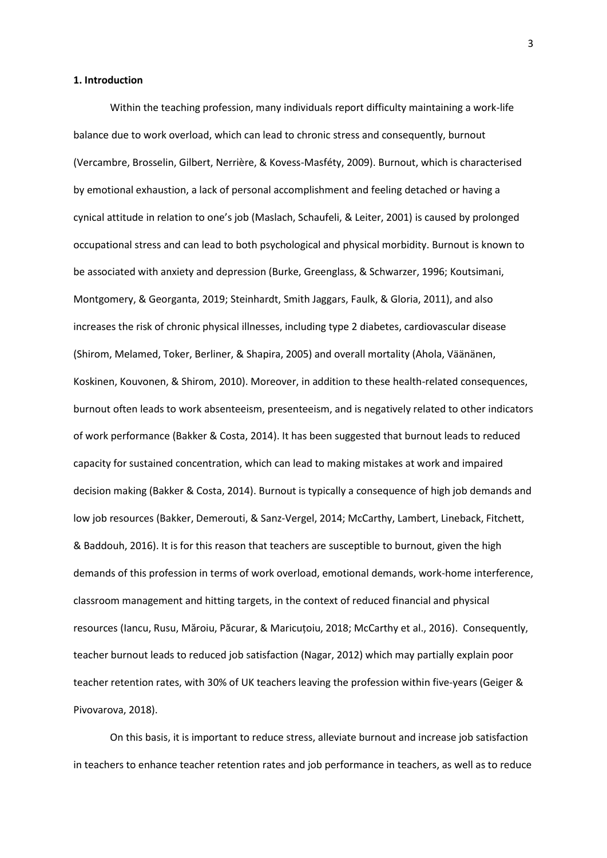# **1. Introduction**

Within the teaching profession, many individuals report difficulty maintaining a work-life balance due to work overload, which can lead to chronic stress and consequently, burnout (Vercambre, Brosselin, Gilbert, Nerrière, & Kovess-Masféty, 2009). Burnout, which is characterised by emotional exhaustion, a lack of personal accomplishment and feeling detached or having a cynical attitude in relation to one's job (Maslach, Schaufeli, & Leiter, 2001) is caused by prolonged occupational stress and can lead to both psychological and physical morbidity. Burnout is known to be associated with anxiety and depression (Burke, Greenglass, & Schwarzer, 1996; Koutsimani, Montgomery, & Georganta, 2019; Steinhardt, Smith Jaggars, Faulk, & Gloria, 2011), and also increases the risk of chronic physical illnesses, including type 2 diabetes, cardiovascular disease (Shirom, Melamed, Toker, Berliner, & Shapira, 2005) and overall mortality (Ahola, Väänänen, Koskinen, Kouvonen, & Shirom, 2010). Moreover, in addition to these health-related consequences, burnout often leads to work absenteeism, presenteeism, and is negatively related to other indicators of work performance (Bakker & Costa, 2014). It has been suggested that burnout leads to reduced capacity for sustained concentration, which can lead to making mistakes at work and impaired decision making (Bakker & Costa, 2014). Burnout is typically a consequence of high job demands and low job resources (Bakker, Demerouti, & Sanz-Vergel, 2014; McCarthy, Lambert, Lineback, Fitchett, & Baddouh, 2016). It is for this reason that teachers are susceptible to burnout, given the high demands of this profession in terms of work overload, emotional demands, work-home interference, classroom management and hitting targets, in the context of reduced financial and physical resources (Iancu, Rusu, Măroiu, Păcurar, & Maricuțoiu, 2018; McCarthy et al., 2016). Consequently, teacher burnout leads to reduced job satisfaction (Nagar, 2012) which may partially explain poor teacher retention rates, with 30% of UK teachers leaving the profession within five-years (Geiger & Pivovarova, 2018).

On this basis, it is important to reduce stress, alleviate burnout and increase job satisfaction in teachers to enhance teacher retention rates and job performance in teachers, as well as to reduce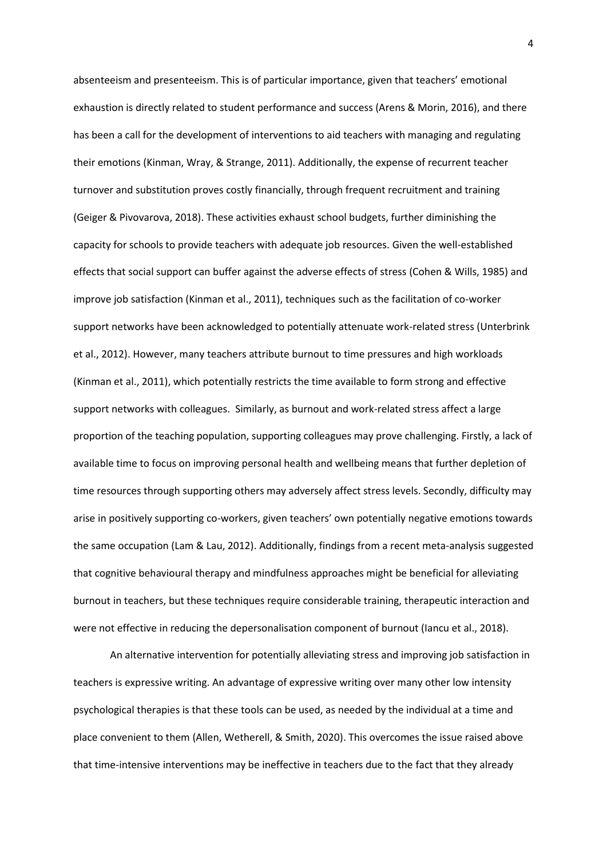absenteeism and presenteeism. This is of particular importance, given that teachers' emotional exhaustion is directly related to student performance and success (Arens & Morin, 2016), and there has been a call for the development of interventions to aid teachers with managing and regulating their emotions (Kinman, Wray, & Strange, 2011). Additionally, the expense of recurrent teacher turnover and substitution proves costly financially, through frequent recruitment and training (Geiger & Pivovarova, 2018). These activities exhaust school budgets, further diminishing the capacity for schools to provide teachers with adequate job resources. Given the well-established effects that social support can buffer against the adverse effects of stress (Cohen & Wills, 1985) and improve job satisfaction (Kinman et al., 2011), techniques such as the facilitation of co-worker support networks have been acknowledged to potentially attenuate work-related stress (Unterbrink et al., 2012). However, many teachers attribute burnout to time pressures and high workloads (Kinman et al., 2011), which potentially restricts the time available to form strong and effective support networks with colleagues. Similarly, as burnout and work-related stress affect a large proportion of the teaching population, supporting colleagues may prove challenging. Firstly, a lack of available time to focus on improving personal health and wellbeing means that further depletion of time resources through supporting others may adversely affect stress levels. Secondly, difficulty may arise in positively supporting co-workers, given teachers' own potentially negative emotions towards the same occupation (Lam & Lau, 2012). Additionally, findings from a recent meta-analysis suggested that cognitive behavioural therapy and mindfulness approaches might be beneficial for alleviating burnout in teachers, but these techniques require considerable training, therapeutic interaction and were not effective in reducing the depersonalisation component of burnout (Iancu et al., 2018).

An alternative intervention for potentially alleviating stress and improving job satisfaction in teachers is expressive writing. An advantage of expressive writing over many other low intensity psychological therapies is that these tools can be used, as needed by the individual at a time and place convenient to them (Allen, Wetherell, & Smith, 2020). This overcomes the issue raised above that time-intensive interventions may be ineffective in teachers due to the fact that they already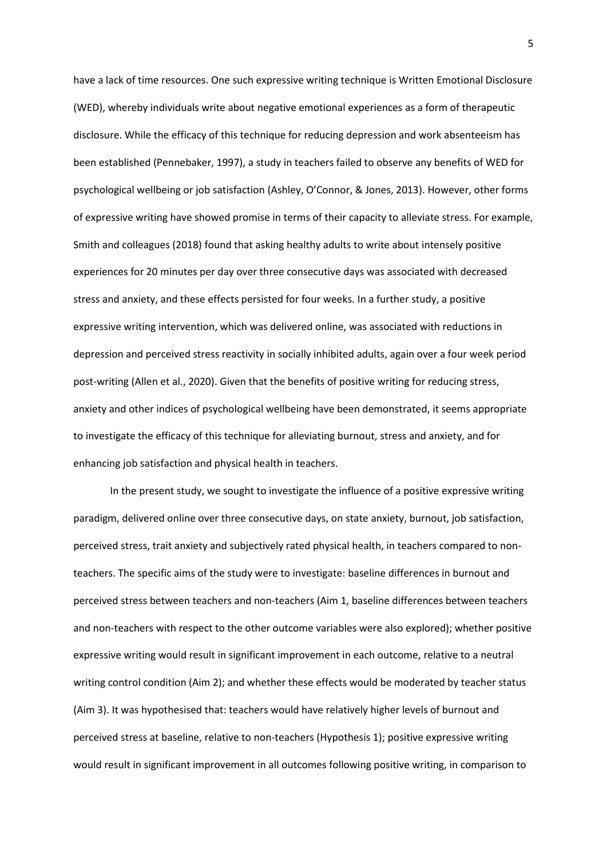have a lack of time resources. One such expressive writing technique is Written Emotional Disclosure (WED), whereby individuals write about negative emotional experiences as a form of therapeutic disclosure. While the efficacy of this technique for reducing depression and work absenteeism has been established (Pennebaker, 1997), a study in teachers failed to observe any benefits of WED for psychological wellbeing or job satisfaction (Ashley, O'Connor, & Jones, 2013). However, other forms of expressive writing have showed promise in terms of their capacity to alleviate stress. For example, Smith and colleagues (2018) found that asking healthy adults to write about intensely positive experiences for 20 minutes per day over three consecutive days was associated with decreased stress and anxiety, and these effects persisted for four weeks. In a further study, a positive expressive writing intervention, which was delivered online, was associated with reductions in depression and perceived stress reactivity in socially inhibited adults, again over a four week period post-writing (Allen et al., 2020). Given that the benefits of positive writing for reducing stress, anxiety and other indices of psychological wellbeing have been demonstrated, it seems appropriate to investigate the efficacy of this technique for alleviating burnout, stress and anxiety, and for enhancing job satisfaction and physical health in teachers.

In the present study, we sought to investigate the influence of a positive expressive writing paradigm, delivered online over three consecutive days, on state anxiety, burnout, job satisfaction, perceived stress, trait anxiety and subjectively rated physical health, in teachers compared to nonteachers. The specific aims of the study were to investigate: baseline differences in burnout and perceived stress between teachers and non-teachers (Aim 1, baseline differences between teachers and non-teachers with respect to the other outcome variables were also explored); whether positive expressive writing would result in significant improvement in each outcome, relative to a neutral writing control condition (Aim 2); and whether these effects would be moderated by teacher status (Aim 3). It was hypothesised that: teachers would have relatively higher levels of burnout and perceived stress at baseline, relative to non-teachers (Hypothesis 1); positive expressive writing would result in significant improvement in all outcomes following positive writing, in comparison to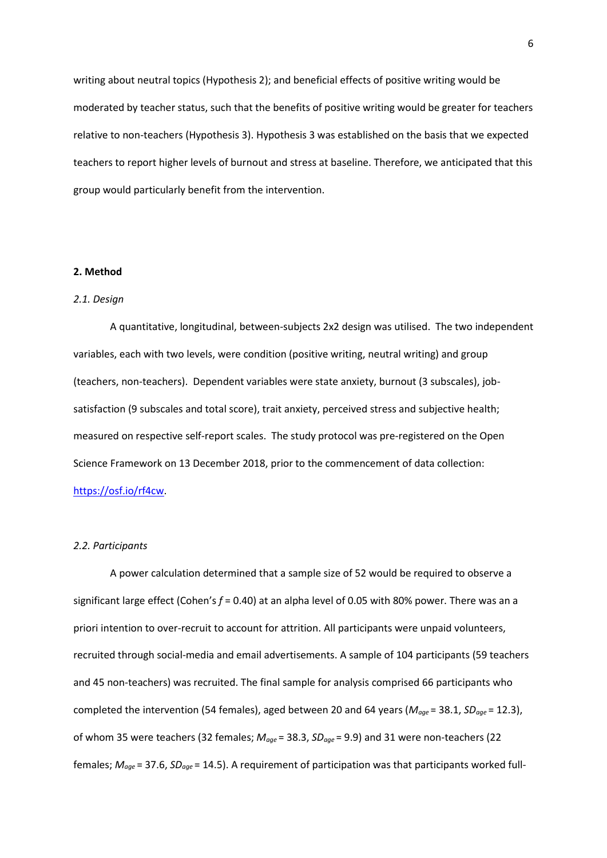writing about neutral topics (Hypothesis 2); and beneficial effects of positive writing would be moderated by teacher status, such that the benefits of positive writing would be greater for teachers relative to non-teachers (Hypothesis 3). Hypothesis 3 was established on the basis that we expected teachers to report higher levels of burnout and stress at baseline. Therefore, we anticipated that this group would particularly benefit from the intervention.

# **2. Method**

#### *2.1. Design*

A quantitative, longitudinal, between-subjects 2x2 design was utilised. The two independent variables, each with two levels, were condition (positive writing, neutral writing) and group (teachers, non-teachers). Dependent variables were state anxiety, burnout (3 subscales), jobsatisfaction (9 subscales and total score), trait anxiety, perceived stress and subjective health; measured on respective self-report scales. The study protocol was pre-registered on the Open Science Framework on 13 December 2018, prior to the commencement of data collection: [https://osf.io/rf4cw.](https://osf.io/rf4cw)

#### *2.2. Participants*

A power calculation determined that a sample size of 52 would be required to observe a significant large effect (Cohen's *f* = 0.40) at an alpha level of 0.05 with 80% power. There was an a priori intention to over-recruit to account for attrition. All participants were unpaid volunteers, recruited through social-media and email advertisements. A sample of 104 participants (59 teachers and 45 non-teachers) was recruited. The final sample for analysis comprised 66 participants who completed the intervention (54 females), aged between 20 and 64 years (*Mage* = 38.1, *SDage* = 12.3), of whom 35 were teachers (32 females; *Mage* = 38.3, *SDage* = 9.9) and 31 were non-teachers (22 females; *Mage* = 37.6, *SDage* = 14.5). A requirement of participation was that participants worked full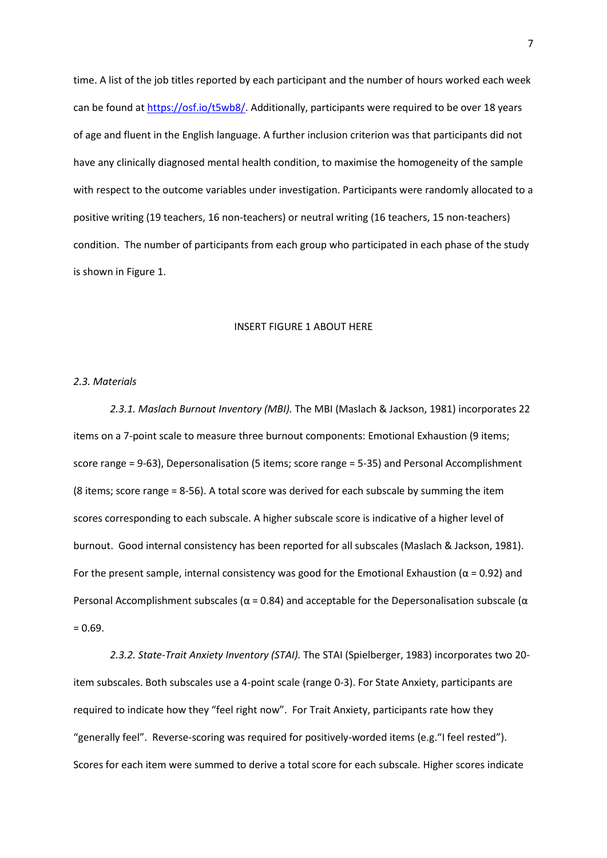time. A list of the job titles reported by each participant and the number of hours worked each week can be found at [https://osf.io/t5wb8/.](https://osf.io/t5wb8/) Additionally, participants were required to be over 18 years of age and fluent in the English language. A further inclusion criterion was that participants did not have any clinically diagnosed mental health condition, to maximise the homogeneity of the sample with respect to the outcome variables under investigation. Participants were randomly allocated to a positive writing (19 teachers, 16 non-teachers) or neutral writing (16 teachers, 15 non-teachers) condition. The number of participants from each group who participated in each phase of the study is shown in Figure 1.

# INSERT FIGURE 1 ABOUT HERE

#### *2.3. Materials*

*2.3.1. Maslach Burnout Inventory (MBI).* The MBI (Maslach & Jackson, 1981) incorporates 22 items on a 7-point scale to measure three burnout components: Emotional Exhaustion (9 items; score range = 9-63), Depersonalisation (5 items; score range = 5-35) and Personal Accomplishment (8 items; score range = 8-56). A total score was derived for each subscale by summing the item scores corresponding to each subscale. A higher subscale score is indicative of a higher level of burnout. Good internal consistency has been reported for all subscales (Maslach & Jackson, 1981). For the present sample, internal consistency was good for the Emotional Exhaustion ( $\alpha$  = 0.92) and Personal Accomplishment subscales ( $\alpha$  = 0.84) and acceptable for the Depersonalisation subscale ( $\alpha$  $= 0.69.$ 

*2.3.2. State-Trait Anxiety Inventory (STAI).* The STAI (Spielberger, 1983) incorporates two 20 item subscales. Both subscales use a 4-point scale (range 0-3). For State Anxiety, participants are required to indicate how they "feel right now". For Trait Anxiety, participants rate how they "generally feel". Reverse-scoring was required for positively-worded items (e.g."I feel rested"). Scores for each item were summed to derive a total score for each subscale. Higher scores indicate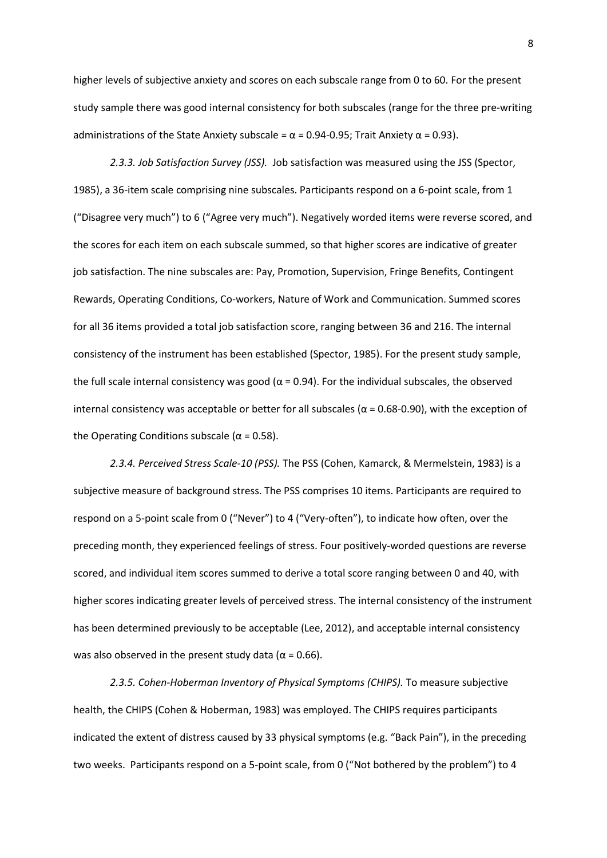higher levels of subjective anxiety and scores on each subscale range from 0 to 60. For the present study sample there was good internal consistency for both subscales (range for the three pre-writing administrations of the State Anxiety subscale =  $\alpha$  = 0.94-0.95; Trait Anxiety  $\alpha$  = 0.93).

*2.3.3. Job Satisfaction Survey (JSS).* Job satisfaction was measured using the JSS (Spector, 1985), a 36-item scale comprising nine subscales. Participants respond on a 6-point scale, from 1 ("Disagree very much") to 6 ("Agree very much"). Negatively worded items were reverse scored, and the scores for each item on each subscale summed, so that higher scores are indicative of greater job satisfaction. The nine subscales are: Pay, Promotion, Supervision, Fringe Benefits, Contingent Rewards, Operating Conditions, Co-workers, Nature of Work and Communication. Summed scores for all 36 items provided a total job satisfaction score, ranging between 36 and 216. The internal consistency of the instrument has been established (Spector, 1985). For the present study sample, the full scale internal consistency was good ( $α = 0.94$ ). For the individual subscales, the observed internal consistency was acceptable or better for all subscales ( $α = 0.68-0.90$ ), with the exception of the Operating Conditions subscale ( $\alpha$  = 0.58).

*2.3.4. Perceived Stress Scale-10 (PSS).* The PSS (Cohen, Kamarck, & Mermelstein, 1983) is a subjective measure of background stress. The PSS comprises 10 items. Participants are required to respond on a 5-point scale from 0 ("Never") to 4 ("Very-often"), to indicate how often, over the preceding month, they experienced feelings of stress. Four positively-worded questions are reverse scored, and individual item scores summed to derive a total score ranging between 0 and 40, with higher scores indicating greater levels of perceived stress. The internal consistency of the instrument has been determined previously to be acceptable (Lee, 2012), and acceptable internal consistency was also observed in the present study data ( $\alpha$  = 0.66).

*2.3.5. Cohen-Hoberman Inventory of Physical Symptoms (CHIPS).* To measure subjective health, the CHIPS (Cohen & Hoberman, 1983) was employed. The CHIPS requires participants indicated the extent of distress caused by 33 physical symptoms (e.g. "Back Pain"), in the preceding two weeks. Participants respond on a 5-point scale, from 0 ("Not bothered by the problem") to 4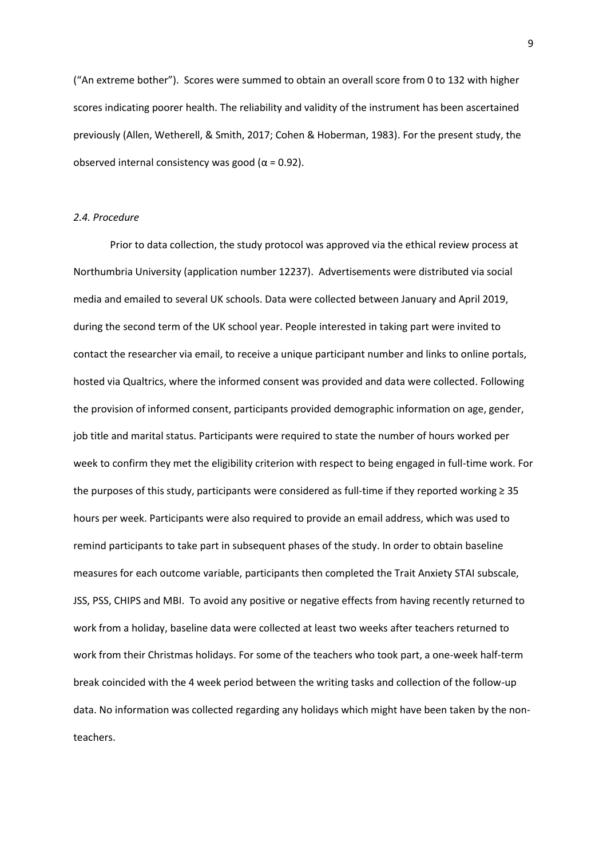("An extreme bother"). Scores were summed to obtain an overall score from 0 to 132 with higher scores indicating poorer health. The reliability and validity of the instrument has been ascertained previously (Allen, Wetherell, & Smith, 2017; Cohen & Hoberman, 1983). For the present study, the observed internal consistency was good ( $α = 0.92$ ).

# *2.4. Procedure*

Prior to data collection, the study protocol was approved via the ethical review process at Northumbria University (application number 12237). Advertisements were distributed via social media and emailed to several UK schools. Data were collected between January and April 2019, during the second term of the UK school year. People interested in taking part were invited to contact the researcher via email, to receive a unique participant number and links to online portals, hosted via Qualtrics, where the informed consent was provided and data were collected. Following the provision of informed consent, participants provided demographic information on age, gender, job title and marital status. Participants were required to state the number of hours worked per week to confirm they met the eligibility criterion with respect to being engaged in full-time work. For the purposes of this study, participants were considered as full-time if they reported working  $\geq 35$ hours per week. Participants were also required to provide an email address, which was used to remind participants to take part in subsequent phases of the study. In order to obtain baseline measures for each outcome variable, participants then completed the Trait Anxiety STAI subscale, JSS, PSS, CHIPS and MBI. To avoid any positive or negative effects from having recently returned to work from a holiday, baseline data were collected at least two weeks after teachers returned to work from their Christmas holidays. For some of the teachers who took part, a one-week half-term break coincided with the 4 week period between the writing tasks and collection of the follow-up data. No information was collected regarding any holidays which might have been taken by the nonteachers.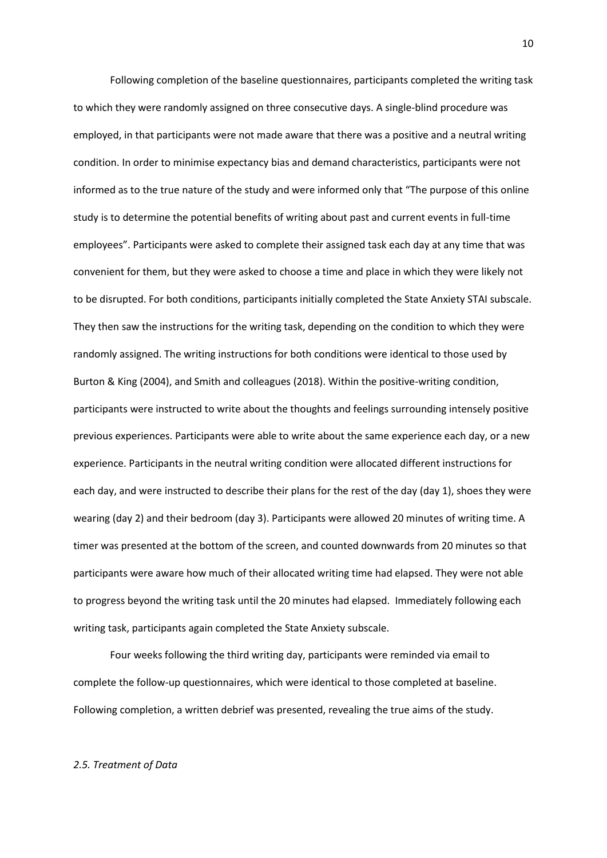Following completion of the baseline questionnaires, participants completed the writing task to which they were randomly assigned on three consecutive days. A single-blind procedure was employed, in that participants were not made aware that there was a positive and a neutral writing condition. In order to minimise expectancy bias and demand characteristics, participants were not informed as to the true nature of the study and were informed only that "The purpose of this online study is to determine the potential benefits of writing about past and current events in full-time employees". Participants were asked to complete their assigned task each day at any time that was convenient for them, but they were asked to choose a time and place in which they were likely not to be disrupted. For both conditions, participants initially completed the State Anxiety STAI subscale. They then saw the instructions for the writing task, depending on the condition to which they were randomly assigned. The writing instructions for both conditions were identical to those used by Burton & King (2004), and Smith and colleagues (2018). Within the positive-writing condition, participants were instructed to write about the thoughts and feelings surrounding intensely positive previous experiences. Participants were able to write about the same experience each day, or a new experience. Participants in the neutral writing condition were allocated different instructions for each day, and were instructed to describe their plans for the rest of the day (day 1), shoes they were wearing (day 2) and their bedroom (day 3). Participants were allowed 20 minutes of writing time. A timer was presented at the bottom of the screen, and counted downwards from 20 minutes so that participants were aware how much of their allocated writing time had elapsed. They were not able to progress beyond the writing task until the 20 minutes had elapsed. Immediately following each writing task, participants again completed the State Anxiety subscale.

Four weeks following the third writing day, participants were reminded via email to complete the follow-up questionnaires, which were identical to those completed at baseline. Following completion, a written debrief was presented, revealing the true aims of the study.

#### *2.5. Treatment of Data*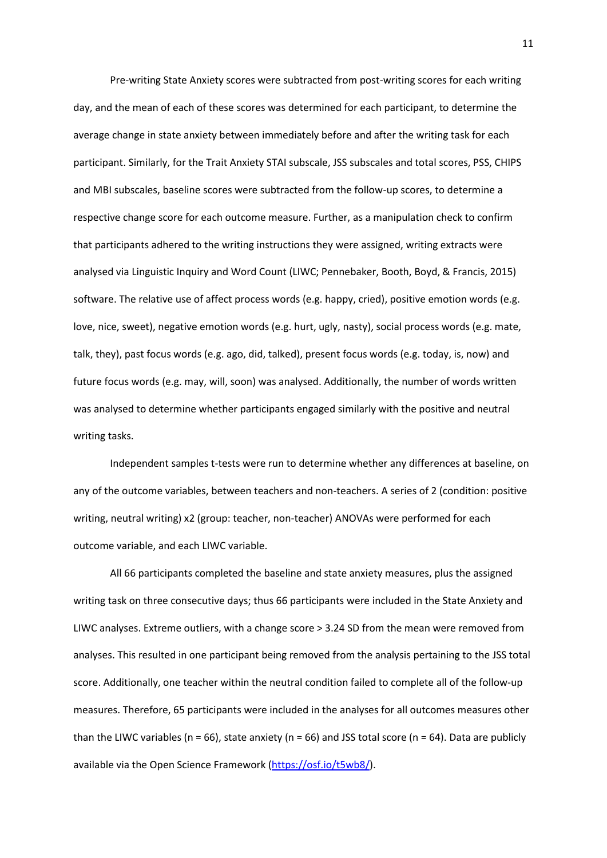Pre-writing State Anxiety scores were subtracted from post-writing scores for each writing day, and the mean of each of these scores was determined for each participant, to determine the average change in state anxiety between immediately before and after the writing task for each participant. Similarly, for the Trait Anxiety STAI subscale, JSS subscales and total scores, PSS, CHIPS and MBI subscales, baseline scores were subtracted from the follow-up scores, to determine a respective change score for each outcome measure. Further, as a manipulation check to confirm that participants adhered to the writing instructions they were assigned, writing extracts were analysed via Linguistic Inquiry and Word Count (LIWC; Pennebaker, Booth, Boyd, & Francis, 2015) software. The relative use of affect process words (e.g. happy, cried), positive emotion words (e.g. love, nice, sweet), negative emotion words (e.g. hurt, ugly, nasty), social process words (e.g. mate, talk, they), past focus words (e.g. ago, did, talked), present focus words (e.g. today, is, now) and future focus words (e.g. may, will, soon) was analysed. Additionally, the number of words written was analysed to determine whether participants engaged similarly with the positive and neutral writing tasks.

Independent samples t-tests were run to determine whether any differences at baseline, on any of the outcome variables, between teachers and non-teachers. A series of 2 (condition: positive writing, neutral writing) x2 (group: teacher, non-teacher) ANOVAs were performed for each outcome variable, and each LIWC variable.

All 66 participants completed the baseline and state anxiety measures, plus the assigned writing task on three consecutive days; thus 66 participants were included in the State Anxiety and LIWC analyses. Extreme outliers, with a change score > 3.24 SD from the mean were removed from analyses. This resulted in one participant being removed from the analysis pertaining to the JSS total score. Additionally, one teacher within the neutral condition failed to complete all of the follow-up measures. Therefore, 65 participants were included in the analyses for all outcomes measures other than the LIWC variables ( $n = 66$ ), state anxiety ( $n = 66$ ) and JSS total score ( $n = 64$ ). Data are publicly available via the Open Science Framework [\(https://osf.io/t5wb8/\)](https://osf.io/t5wb8/).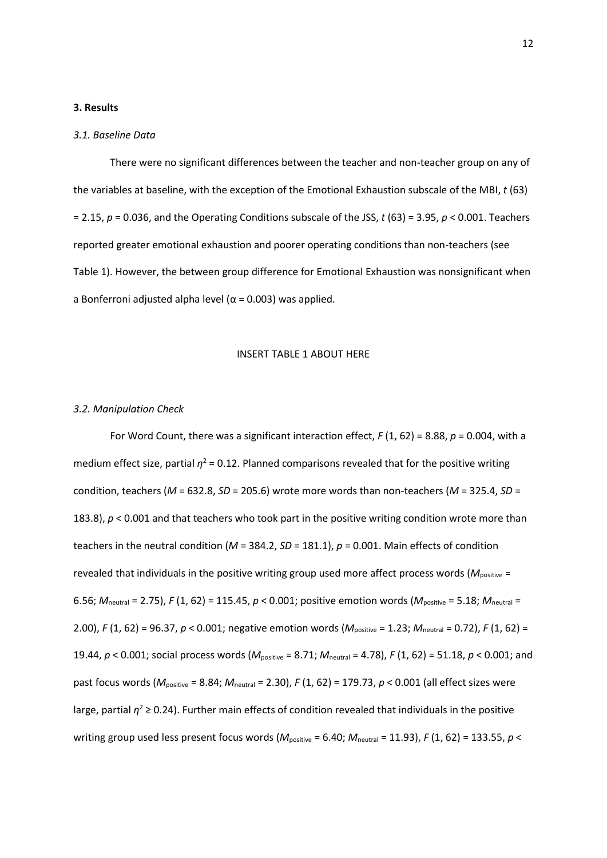# **3. Results**

#### *3.1. Baseline Data*

There were no significant differences between the teacher and non-teacher group on any of the variables at baseline, with the exception of the Emotional Exhaustion subscale of the MBI, *t* (63) = 2.15, *p* = 0.036, and the Operating Conditions subscale of the JSS, *t* (63) = 3.95, *p* < 0.001. Teachers reported greater emotional exhaustion and poorer operating conditions than non-teachers (see Table 1). However, the between group difference for Emotional Exhaustion was nonsignificant when a Bonferroni adjusted alpha level ( $\alpha$  = 0.003) was applied.

#### INSERT TABLE 1 ABOUT HERE

#### *3.2. Manipulation Check*

For Word Count, there was a significant interaction effect, *F* (1, 62) = 8.88, *p* = 0.004, with a medium effect size, partial  $\eta^2$  = 0.12. Planned comparisons revealed that for the positive writing condition, teachers (*M* = 632.8, *SD* = 205.6) wrote more words than non-teachers (*M* = 325.4, *SD* = 183.8),  $p < 0.001$  and that teachers who took part in the positive writing condition wrote more than teachers in the neutral condition (*M* = 384.2, *SD* = 181.1), *p* = 0.001. Main effects of condition revealed that individuals in the positive writing group used more affect process words (M<sub>positive</sub> = 6.56; *M*neutral = 2.75), *F* (1, 62) = 115.45, *p* < 0.001; positive emotion words (*M*positive = 5.18; *M*neutral = 2.00), *F* (1, 62) = 96.37, *p* < 0.001; negative emotion words (*M*positive = 1.23; *M*neutral = 0.72), *F* (1, 62) = 19.44, *p* < 0.001; social process words (*M*positive = 8.71; *M*neutral = 4.78), *F* (1, 62) = 51.18, *p* < 0.001; and past focus words (*M*positive = 8.84; *M*neutral = 2.30), *F* (1, 62) = 179.73, *p* < 0.001 (all effect sizes were large, partial  $\eta^2 \ge 0.24$ ). Further main effects of condition revealed that individuals in the positive writing group used less present focus words ( $M_{\text{positive}}$  = 6.40;  $M_{\text{neutral}}$  = 11.93), *F* (1, 62) = 133.55, *p* <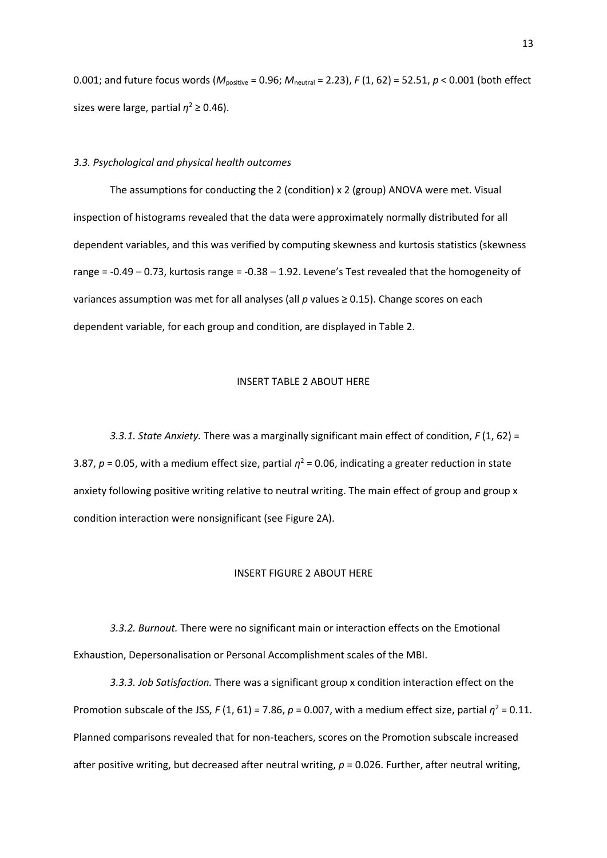0.001; and future focus words (*M*positive = 0.96; *M*neutral = 2.23), *F* (1, 62) = 52.51, *p* < 0.001 (both effect sizes were large, partial  $\eta^2 \geq 0.46$ ).

# *3.3. Psychological and physical health outcomes*

The assumptions for conducting the 2 (condition) x 2 (group) ANOVA were met. Visual inspection of histograms revealed that the data were approximately normally distributed for all dependent variables, and this was verified by computing skewness and kurtosis statistics (skewness range = -0.49 – 0.73, kurtosis range = -0.38 – 1.92. Levene's Test revealed that the homogeneity of variances assumption was met for all analyses (all *p* values ≥ 0.15). Change scores on each dependent variable, for each group and condition, are displayed in Table 2.

#### INSERT TABLE 2 ABOUT HERE

*3.3.1. State Anxiety.* There was a marginally significant main effect of condition, *F* (1, 62) = 3.87,  $p = 0.05$ , with a medium effect size, partial  $\eta^2 = 0.06$ , indicating a greater reduction in state anxiety following positive writing relative to neutral writing. The main effect of group and group x condition interaction were nonsignificant (see Figure 2A).

# INSERT FIGURE 2 ABOUT HERE

*3.3.2. Burnout.* There were no significant main or interaction effects on the Emotional Exhaustion, Depersonalisation or Personal Accomplishment scales of the MBI.

*3.3.3. Job Satisfaction.* There was a significant group x condition interaction effect on the Promotion subscale of the JSS,  $F(1, 61) = 7.86$ ,  $p = 0.007$ , with a medium effect size, partial  $\eta^2 = 0.11$ . Planned comparisons revealed that for non-teachers, scores on the Promotion subscale increased after positive writing, but decreased after neutral writing, *p* = 0.026. Further, after neutral writing,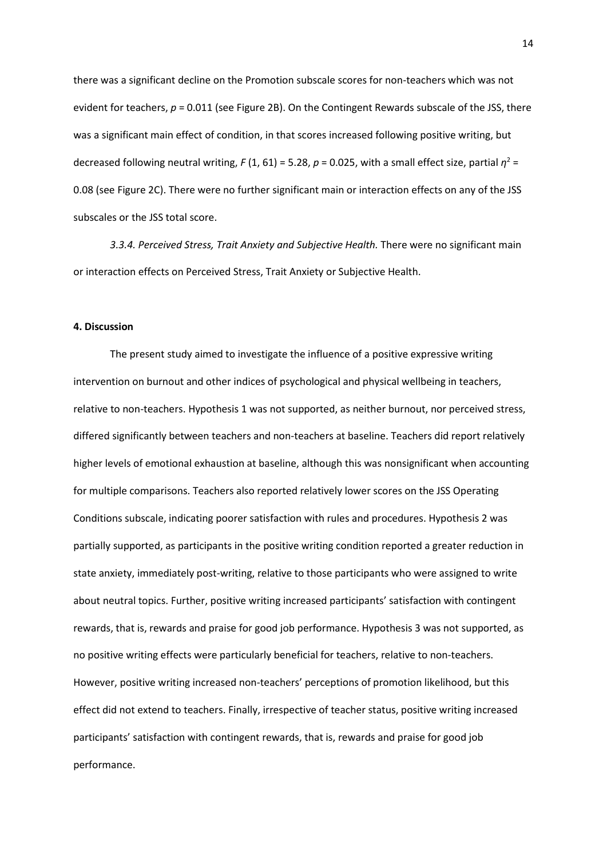there was a significant decline on the Promotion subscale scores for non-teachers which was not evident for teachers, *p* = 0.011 (see Figure 2B). On the Contingent Rewards subscale of the JSS, there was a significant main effect of condition, in that scores increased following positive writing, but decreased following neutral writing,  $F(1, 61) = 5.28$ ,  $p = 0.025$ , with a small effect size, partial  $\eta^2 =$ 0.08 (see Figure 2C). There were no further significant main or interaction effects on any of the JSS subscales or the JSS total score.

*3.3.4. Perceived Stress, Trait Anxiety and Subjective Health.* There were no significant main or interaction effects on Perceived Stress, Trait Anxiety or Subjective Health.

#### **4. Discussion**

The present study aimed to investigate the influence of a positive expressive writing intervention on burnout and other indices of psychological and physical wellbeing in teachers, relative to non-teachers. Hypothesis 1 was not supported, as neither burnout, nor perceived stress, differed significantly between teachers and non-teachers at baseline. Teachers did report relatively higher levels of emotional exhaustion at baseline, although this was nonsignificant when accounting for multiple comparisons. Teachers also reported relatively lower scores on the JSS Operating Conditions subscale, indicating poorer satisfaction with rules and procedures. Hypothesis 2 was partially supported, as participants in the positive writing condition reported a greater reduction in state anxiety, immediately post-writing, relative to those participants who were assigned to write about neutral topics. Further, positive writing increased participants' satisfaction with contingent rewards, that is, rewards and praise for good job performance. Hypothesis 3 was not supported, as no positive writing effects were particularly beneficial for teachers, relative to non-teachers. However, positive writing increased non-teachers' perceptions of promotion likelihood, but this effect did not extend to teachers. Finally, irrespective of teacher status, positive writing increased participants' satisfaction with contingent rewards, that is, rewards and praise for good job performance.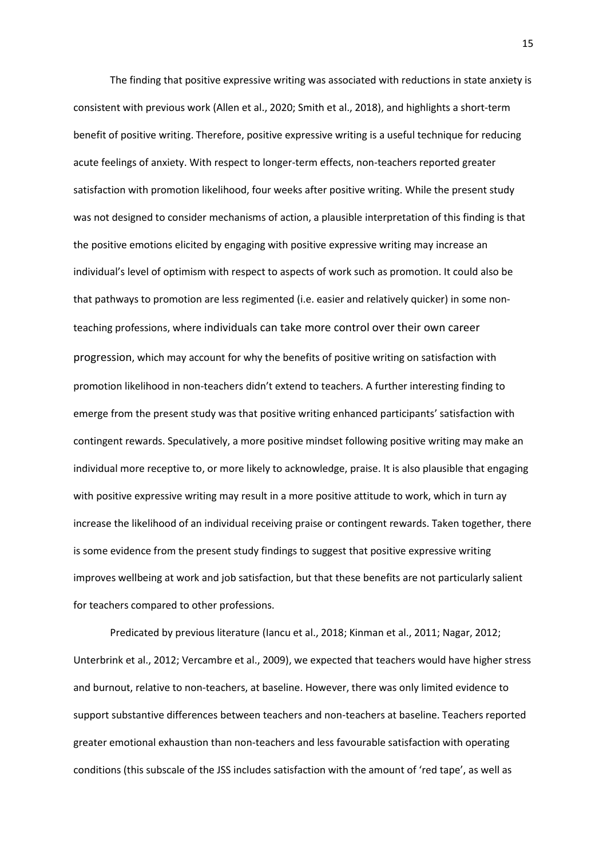The finding that positive expressive writing was associated with reductions in state anxiety is consistent with previous work (Allen et al., 2020; Smith et al., 2018), and highlights a short-term benefit of positive writing. Therefore, positive expressive writing is a useful technique for reducing acute feelings of anxiety. With respect to longer-term effects, non-teachers reported greater satisfaction with promotion likelihood, four weeks after positive writing. While the present study was not designed to consider mechanisms of action, a plausible interpretation of this finding is that the positive emotions elicited by engaging with positive expressive writing may increase an individual's level of optimism with respect to aspects of work such as promotion. It could also be that pathways to promotion are less regimented (i.e. easier and relatively quicker) in some nonteaching professions, where individuals can take more control over their own career progression, which may account for why the benefits of positive writing on satisfaction with promotion likelihood in non-teachers didn't extend to teachers. A further interesting finding to emerge from the present study was that positive writing enhanced participants' satisfaction with contingent rewards. Speculatively, a more positive mindset following positive writing may make an individual more receptive to, or more likely to acknowledge, praise. It is also plausible that engaging with positive expressive writing may result in a more positive attitude to work, which in turn ay increase the likelihood of an individual receiving praise or contingent rewards. Taken together, there is some evidence from the present study findings to suggest that positive expressive writing improves wellbeing at work and job satisfaction, but that these benefits are not particularly salient for teachers compared to other professions.

Predicated by previous literature (Iancu et al., 2018; Kinman et al., 2011; Nagar, 2012; Unterbrink et al., 2012; Vercambre et al., 2009), we expected that teachers would have higher stress and burnout, relative to non-teachers, at baseline. However, there was only limited evidence to support substantive differences between teachers and non-teachers at baseline. Teachers reported greater emotional exhaustion than non-teachers and less favourable satisfaction with operating conditions (this subscale of the JSS includes satisfaction with the amount of 'red tape', as well as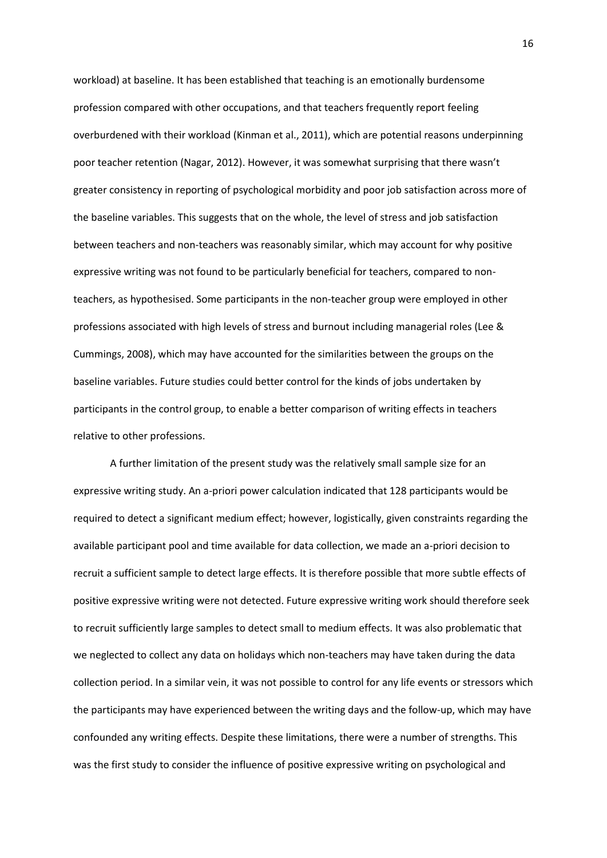workload) at baseline. It has been established that teaching is an emotionally burdensome profession compared with other occupations, and that teachers frequently report feeling overburdened with their workload (Kinman et al., 2011), which are potential reasons underpinning poor teacher retention (Nagar, 2012). However, it was somewhat surprising that there wasn't greater consistency in reporting of psychological morbidity and poor job satisfaction across more of the baseline variables. This suggests that on the whole, the level of stress and job satisfaction between teachers and non-teachers was reasonably similar, which may account for why positive expressive writing was not found to be particularly beneficial for teachers, compared to nonteachers, as hypothesised. Some participants in the non-teacher group were employed in other professions associated with high levels of stress and burnout including managerial roles (Lee & Cummings, 2008), which may have accounted for the similarities between the groups on the baseline variables. Future studies could better control for the kinds of jobs undertaken by participants in the control group, to enable a better comparison of writing effects in teachers relative to other professions.

A further limitation of the present study was the relatively small sample size for an expressive writing study. An a-priori power calculation indicated that 128 participants would be required to detect a significant medium effect; however, logistically, given constraints regarding the available participant pool and time available for data collection, we made an a-priori decision to recruit a sufficient sample to detect large effects. It is therefore possible that more subtle effects of positive expressive writing were not detected. Future expressive writing work should therefore seek to recruit sufficiently large samples to detect small to medium effects. It was also problematic that we neglected to collect any data on holidays which non-teachers may have taken during the data collection period. In a similar vein, it was not possible to control for any life events or stressors which the participants may have experienced between the writing days and the follow-up, which may have confounded any writing effects. Despite these limitations, there were a number of strengths. This was the first study to consider the influence of positive expressive writing on psychological and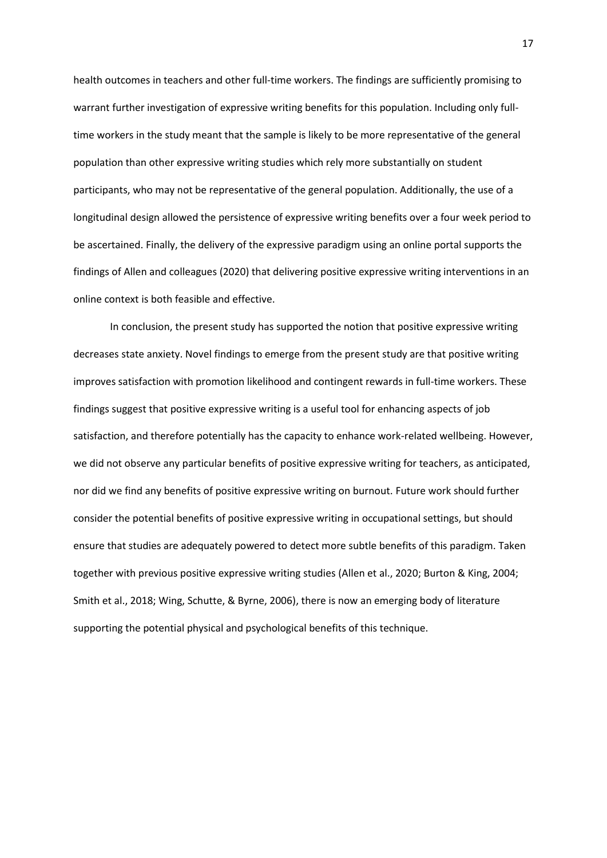health outcomes in teachers and other full-time workers. The findings are sufficiently promising to warrant further investigation of expressive writing benefits for this population. Including only fulltime workers in the study meant that the sample is likely to be more representative of the general population than other expressive writing studies which rely more substantially on student participants, who may not be representative of the general population. Additionally, the use of a longitudinal design allowed the persistence of expressive writing benefits over a four week period to be ascertained. Finally, the delivery of the expressive paradigm using an online portal supports the findings of Allen and colleagues (2020) that delivering positive expressive writing interventions in an online context is both feasible and effective.

In conclusion, the present study has supported the notion that positive expressive writing decreases state anxiety. Novel findings to emerge from the present study are that positive writing improves satisfaction with promotion likelihood and contingent rewards in full-time workers. These findings suggest that positive expressive writing is a useful tool for enhancing aspects of job satisfaction, and therefore potentially has the capacity to enhance work-related wellbeing. However, we did not observe any particular benefits of positive expressive writing for teachers, as anticipated, nor did we find any benefits of positive expressive writing on burnout. Future work should further consider the potential benefits of positive expressive writing in occupational settings, but should ensure that studies are adequately powered to detect more subtle benefits of this paradigm. Taken together with previous positive expressive writing studies (Allen et al., 2020; Burton & King, 2004; Smith et al., 2018; Wing, Schutte, & Byrne, 2006), there is now an emerging body of literature supporting the potential physical and psychological benefits of this technique.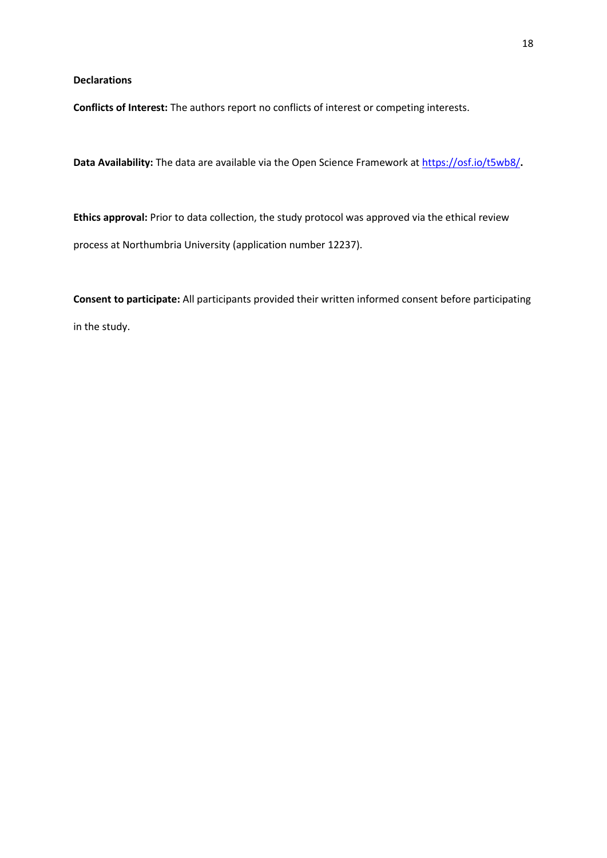**Declarations**

**Conflicts of Interest:** The authors report no conflicts of interest or competing interests.

**Data Availability:** The data are available via the Open Science Framework at<https://osf.io/t5wb8/>**.**

**Ethics approval:** Prior to data collection, the study protocol was approved via the ethical review process at Northumbria University (application number 12237).

**Consent to participate:** All participants provided their written informed consent before participating in the study.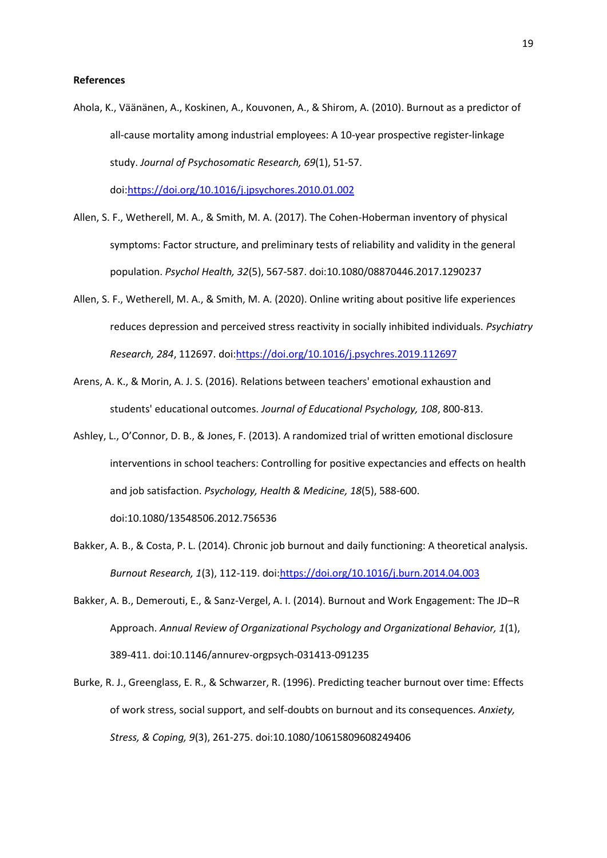#### **References**

Ahola, K., Väänänen, A., Koskinen, A., Kouvonen, A., & Shirom, A. (2010). Burnout as a predictor of all-cause mortality among industrial employees: A 10-year prospective register-linkage study. *Journal of Psychosomatic Research, 69*(1), 51-57. doi[:https://doi.org/10.1016/j.jpsychores.2010.01.002](https://doi.org/10.1016/j.jpsychores.2010.01.002)

Allen, S. F., Wetherell, M. A., & Smith, M. A. (2017). The Cohen-Hoberman inventory of physical symptoms: Factor structure, and preliminary tests of reliability and validity in the general population. *Psychol Health, 32*(5), 567-587. doi:10.1080/08870446.2017.1290237

- Allen, S. F., Wetherell, M. A., & Smith, M. A. (2020). Online writing about positive life experiences reduces depression and perceived stress reactivity in socially inhibited individuals. *Psychiatry Research, 284*, 112697. doi[:https://doi.org/10.1016/j.psychres.2019.112697](https://doi.org/10.1016/j.psychres.2019.112697)
- Arens, A. K., & Morin, A. J. S. (2016). Relations between teachers' emotional exhaustion and students' educational outcomes. *Journal of Educational Psychology, 108*, 800-813.
- Ashley, L., O'Connor, D. B., & Jones, F. (2013). A randomized trial of written emotional disclosure interventions in school teachers: Controlling for positive expectancies and effects on health and job satisfaction. *Psychology, Health & Medicine, 18*(5), 588-600.

doi:10.1080/13548506.2012.756536

- Bakker, A. B., & Costa, P. L. (2014). Chronic job burnout and daily functioning: A theoretical analysis. *Burnout Research, 1*(3), 112-119. doi[:https://doi.org/10.1016/j.burn.2014.04.003](https://doi.org/10.1016/j.burn.2014.04.003)
- Bakker, A. B., Demerouti, E., & Sanz-Vergel, A. I. (2014). Burnout and Work Engagement: The JD–R Approach. *Annual Review of Organizational Psychology and Organizational Behavior, 1*(1), 389-411. doi:10.1146/annurev-orgpsych-031413-091235
- Burke, R. J., Greenglass, E. R., & Schwarzer, R. (1996). Predicting teacher burnout over time: Effects of work stress, social support, and self-doubts on burnout and its consequences. *Anxiety, Stress, & Coping, 9*(3), 261-275. doi:10.1080/10615809608249406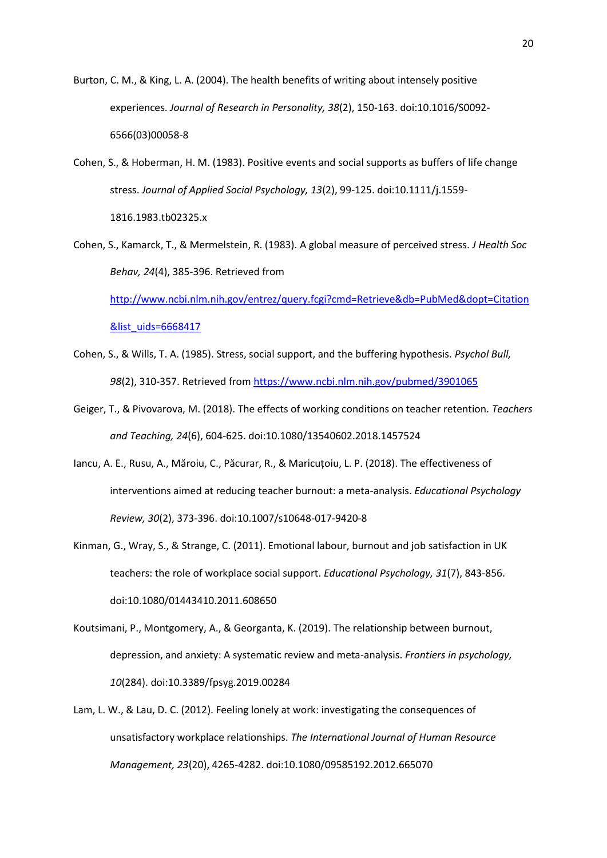Burton, C. M., & King, L. A. (2004). The health benefits of writing about intensely positive experiences. *Journal of Research in Personality, 38*(2), 150-163. doi:10.1016/S0092- 6566(03)00058-8

Cohen, S., & Hoberman, H. M. (1983). Positive events and social supports as buffers of life change stress. *Journal of Applied Social Psychology, 13*(2), 99-125. doi:10.1111/j.1559- 1816.1983.tb02325.x

Cohen, S., Kamarck, T., & Mermelstein, R. (1983). A global measure of perceived stress. *J Health Soc Behav, 24*(4), 385-396. Retrieved from [http://www.ncbi.nlm.nih.gov/entrez/query.fcgi?cmd=Retrieve&db=PubMed&dopt=Citation](http://www.ncbi.nlm.nih.gov/entrez/query.fcgi?cmd=Retrieve&db=PubMed&dopt=Citation&list_uids=6668417) [&list\\_uids=6668417](http://www.ncbi.nlm.nih.gov/entrez/query.fcgi?cmd=Retrieve&db=PubMed&dopt=Citation&list_uids=6668417)

- Cohen, S., & Wills, T. A. (1985). Stress, social support, and the buffering hypothesis. *Psychol Bull, 98*(2), 310-357. Retrieved fro[m https://www.ncbi.nlm.nih.gov/pubmed/3901065](https://www.ncbi.nlm.nih.gov/pubmed/3901065)
- Geiger, T., & Pivovarova, M. (2018). The effects of working conditions on teacher retention. *Teachers and Teaching, 24*(6), 604-625. doi:10.1080/13540602.2018.1457524
- Iancu, A. E., Rusu, A., Măroiu, C., Păcurar, R., & Maricuțoiu, L. P. (2018). The effectiveness of interventions aimed at reducing teacher burnout: a meta-analysis. *Educational Psychology Review, 30*(2), 373-396. doi:10.1007/s10648-017-9420-8
- Kinman, G., Wray, S., & Strange, C. (2011). Emotional labour, burnout and job satisfaction in UK teachers: the role of workplace social support. *Educational Psychology, 31*(7), 843-856. doi:10.1080/01443410.2011.608650
- Koutsimani, P., Montgomery, A., & Georganta, K. (2019). The relationship between burnout, depression, and anxiety: A systematic review and meta-analysis. *Frontiers in psychology, 10*(284). doi:10.3389/fpsyg.2019.00284
- Lam, L. W., & Lau, D. C. (2012). Feeling lonely at work: investigating the consequences of unsatisfactory workplace relationships. *The International Journal of Human Resource Management, 23*(20), 4265-4282. doi:10.1080/09585192.2012.665070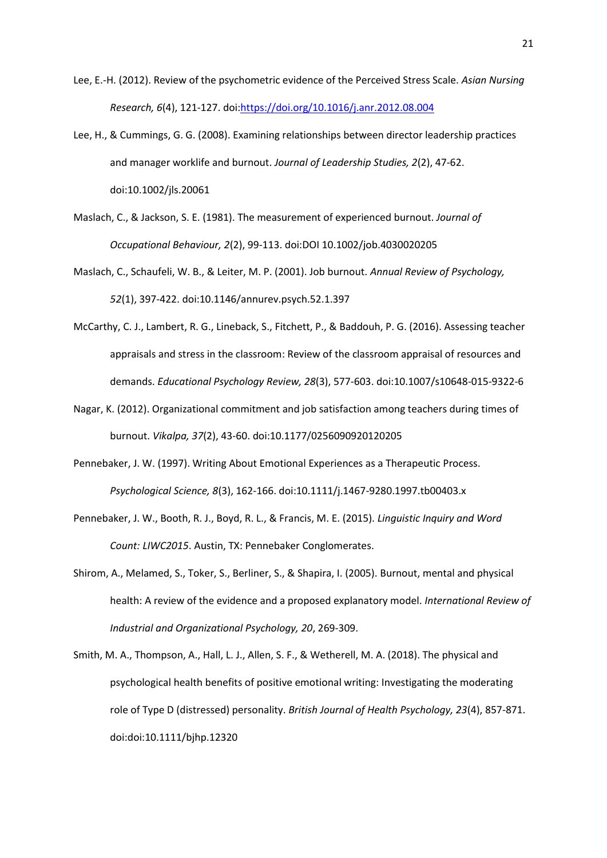- Lee, E.-H. (2012). Review of the psychometric evidence of the Perceived Stress Scale. *Asian Nursing Research, 6*(4), 121-127. doi[:https://doi.org/10.1016/j.anr.2012.08.004](https://doi.org/10.1016/j.anr.2012.08.004)
- Lee, H., & Cummings, G. G. (2008). Examining relationships between director leadership practices and manager worklife and burnout. *Journal of Leadership Studies, 2*(2), 47-62. doi:10.1002/jls.20061
- Maslach, C., & Jackson, S. E. (1981). The measurement of experienced burnout. *Journal of Occupational Behaviour, 2*(2), 99-113. doi:DOI 10.1002/job.4030020205
- Maslach, C., Schaufeli, W. B., & Leiter, M. P. (2001). Job burnout. *Annual Review of Psychology, 52*(1), 397-422. doi:10.1146/annurev.psych.52.1.397
- McCarthy, C. J., Lambert, R. G., Lineback, S., Fitchett, P., & Baddouh, P. G. (2016). Assessing teacher appraisals and stress in the classroom: Review of the classroom appraisal of resources and demands. *Educational Psychology Review, 28*(3), 577-603. doi:10.1007/s10648-015-9322-6
- Nagar, K. (2012). Organizational commitment and job satisfaction among teachers during times of burnout. *Vikalpa, 37*(2), 43-60. doi:10.1177/0256090920120205
- Pennebaker, J. W. (1997). Writing About Emotional Experiences as a Therapeutic Process. *Psychological Science, 8*(3), 162-166. doi:10.1111/j.1467-9280.1997.tb00403.x
- Pennebaker, J. W., Booth, R. J., Boyd, R. L., & Francis, M. E. (2015). *Linguistic Inquiry and Word Count: LIWC2015*. Austin, TX: Pennebaker Conglomerates.
- Shirom, A., Melamed, S., Toker, S., Berliner, S., & Shapira, I. (2005). Burnout, mental and physical health: A review of the evidence and a proposed explanatory model. *International Review of Industrial and Organizational Psychology, 20*, 269-309.
- Smith, M. A., Thompson, A., Hall, L. J., Allen, S. F., & Wetherell, M. A. (2018). The physical and psychological health benefits of positive emotional writing: Investigating the moderating role of Type D (distressed) personality. *British Journal of Health Psychology, 23*(4), 857-871. doi:doi:10.1111/bjhp.12320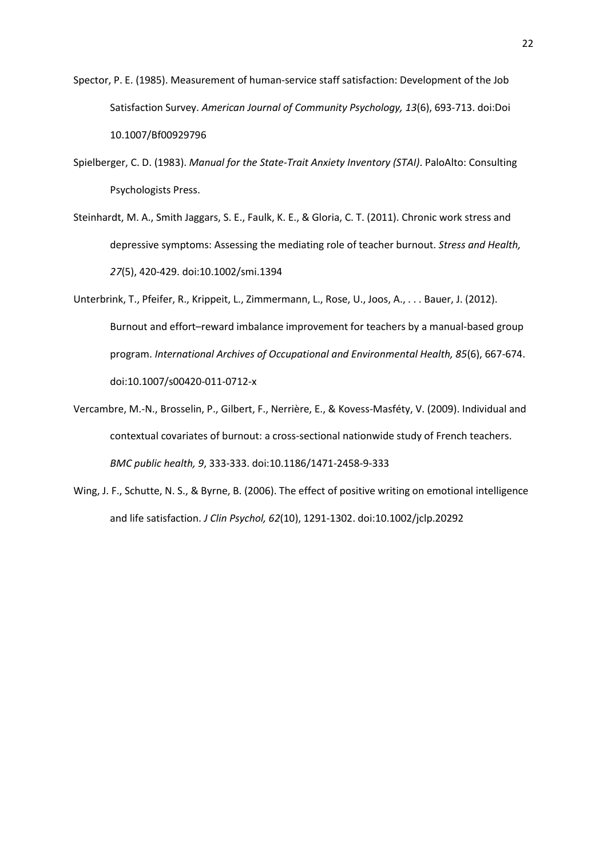- Spector, P. E. (1985). Measurement of human-service staff satisfaction: Development of the Job Satisfaction Survey. *American Journal of Community Psychology, 13*(6), 693-713. doi:Doi 10.1007/Bf00929796
- Spielberger, C. D. (1983). *Manual for the State-Trait Anxiety Inventory (STAI)*. PaloAlto: Consulting Psychologists Press.
- Steinhardt, M. A., Smith Jaggars, S. E., Faulk, K. E., & Gloria, C. T. (2011). Chronic work stress and depressive symptoms: Assessing the mediating role of teacher burnout. *Stress and Health, 27*(5), 420-429. doi:10.1002/smi.1394
- Unterbrink, T., Pfeifer, R., Krippeit, L., Zimmermann, L., Rose, U., Joos, A., . . . Bauer, J. (2012). Burnout and effort–reward imbalance improvement for teachers by a manual-based group program. *International Archives of Occupational and Environmental Health, 85*(6), 667-674. doi:10.1007/s00420-011-0712-x
- Vercambre, M.-N., Brosselin, P., Gilbert, F., Nerrière, E., & Kovess-Masféty, V. (2009). Individual and contextual covariates of burnout: a cross-sectional nationwide study of French teachers. *BMC public health, 9*, 333-333. doi:10.1186/1471-2458-9-333
- Wing, J. F., Schutte, N. S., & Byrne, B. (2006). The effect of positive writing on emotional intelligence and life satisfaction. *J Clin Psychol, 62*(10), 1291-1302. doi:10.1002/jclp.20292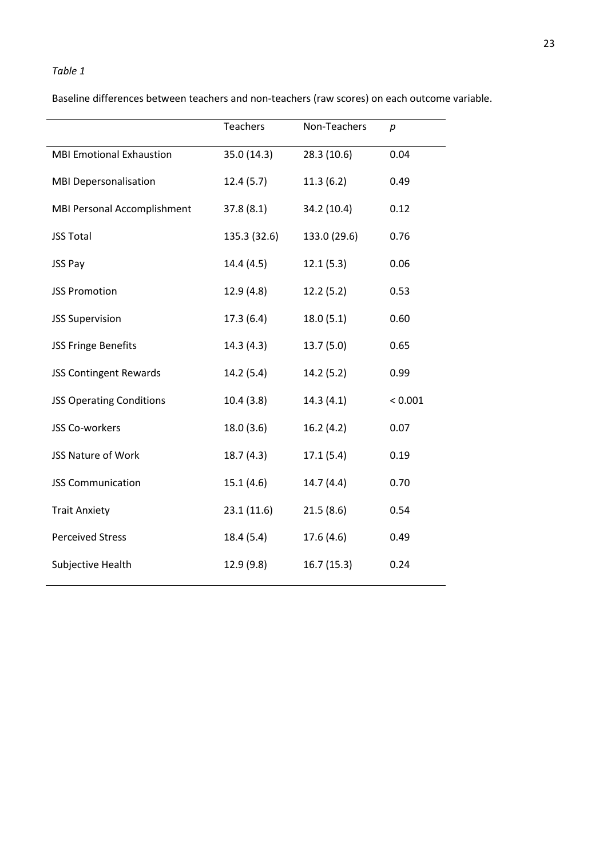# *Table 1*

|                                 | <b>Teachers</b> | Non-Teachers | p       |
|---------------------------------|-----------------|--------------|---------|
| <b>MBI Emotional Exhaustion</b> | 35.0 (14.3)     | 28.3 (10.6)  | 0.04    |
| <b>MBI Depersonalisation</b>    | 12.4(5.7)       | 11.3(6.2)    | 0.49    |
| MBI Personal Accomplishment     | 37.8(8.1)       | 34.2 (10.4)  | 0.12    |
| <b>JSS Total</b>                | 135.3 (32.6)    | 133.0 (29.6) | 0.76    |
| JSS Pay                         | 14.4 (4.5)      | 12.1(5.3)    | 0.06    |
| <b>JSS Promotion</b>            | 12.9 (4.8)      | 12.2(5.2)    | 0.53    |
| <b>JSS Supervision</b>          | 17.3(6.4)       | 18.0(5.1)    | 0.60    |
| <b>JSS Fringe Benefits</b>      | 14.3 (4.3)      | 13.7(5.0)    | 0.65    |
| <b>JSS Contingent Rewards</b>   | 14.2(5.4)       | 14.2 (5.2)   | 0.99    |
| <b>JSS Operating Conditions</b> | 10.4(3.8)       | 14.3(4.1)    | < 0.001 |
| <b>JSS Co-workers</b>           | 18.0 (3.6)      | 16.2(4.2)    | 0.07    |
| <b>JSS Nature of Work</b>       | 18.7(4.3)       | 17.1(5.4)    | 0.19    |
| <b>JSS Communication</b>        | 15.1(4.6)       | 14.7 (4.4)   | 0.70    |
| <b>Trait Anxiety</b>            | 23.1(11.6)      | 21.5(8.6)    | 0.54    |
| <b>Perceived Stress</b>         | 18.4 (5.4)      | 17.6 (4.6)   | 0.49    |
| Subjective Health               | 12.9 (9.8)      | 16.7(15.3)   | 0.24    |

Baseline differences between teachers and non-teachers (raw scores) on each outcome variable.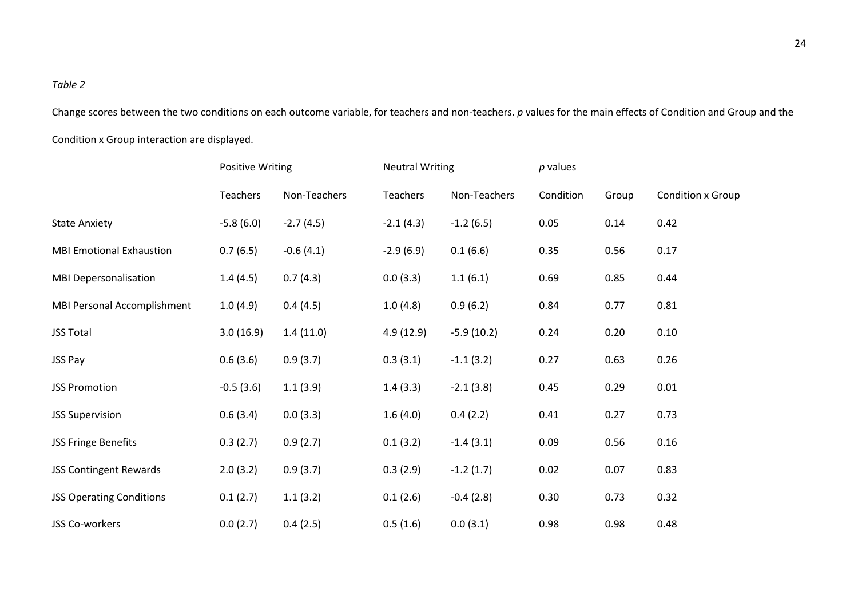# *Table 2*

Change scores between the two conditions on each outcome variable, for teachers and non-teachers. *p* values for the main effects of Condition and Group and the Condition x Group interaction are displayed.

|                                 | Positive Writing |              | <b>Neutral Writing</b> |              | $p$ values |       |                   |
|---------------------------------|------------------|--------------|------------------------|--------------|------------|-------|-------------------|
|                                 | Teachers         | Non-Teachers | Teachers               | Non-Teachers | Condition  | Group | Condition x Group |
| <b>State Anxiety</b>            | $-5.8(6.0)$      | $-2.7(4.5)$  | $-2.1(4.3)$            | $-1.2(6.5)$  | 0.05       | 0.14  | 0.42              |
| <b>MBI Emotional Exhaustion</b> | 0.7(6.5)         | $-0.6(4.1)$  | $-2.9(6.9)$            | 0.1(6.6)     | 0.35       | 0.56  | 0.17              |
| <b>MBI Depersonalisation</b>    | 1.4(4.5)         | 0.7(4.3)     | 0.0(3.3)               | 1.1(6.1)     | 0.69       | 0.85  | 0.44              |
| MBI Personal Accomplishment     | 1.0(4.9)         | 0.4(4.5)     | 1.0(4.8)               | 0.9(6.2)     | 0.84       | 0.77  | 0.81              |
| <b>JSS Total</b>                | 3.0(16.9)        | 1.4(11.0)    | 4.9(12.9)              | $-5.9(10.2)$ | 0.24       | 0.20  | 0.10              |
| JSS Pay                         | 0.6(3.6)         | 0.9(3.7)     | 0.3(3.1)               | $-1.1(3.2)$  | 0.27       | 0.63  | 0.26              |
| <b>JSS Promotion</b>            | $-0.5(3.6)$      | 1.1(3.9)     | 1.4(3.3)               | $-2.1(3.8)$  | 0.45       | 0.29  | 0.01              |
| <b>JSS Supervision</b>          | 0.6(3.4)         | 0.0(3.3)     | 1.6(4.0)               | 0.4(2.2)     | 0.41       | 0.27  | 0.73              |
| JSS Fringe Benefits             | 0.3(2.7)         | 0.9(2.7)     | 0.1(3.2)               | $-1.4(3.1)$  | 0.09       | 0.56  | 0.16              |
| <b>JSS Contingent Rewards</b>   | 2.0(3.2)         | 0.9(3.7)     | 0.3(2.9)               | $-1.2(1.7)$  | 0.02       | 0.07  | 0.83              |
| <b>JSS Operating Conditions</b> | 0.1(2.7)         | 1.1(3.2)     | 0.1(2.6)               | $-0.4(2.8)$  | 0.30       | 0.73  | 0.32              |
| JSS Co-workers                  | 0.0(2.7)         | 0.4(2.5)     | 0.5(1.6)               | 0.0(3.1)     | 0.98       | 0.98  | 0.48              |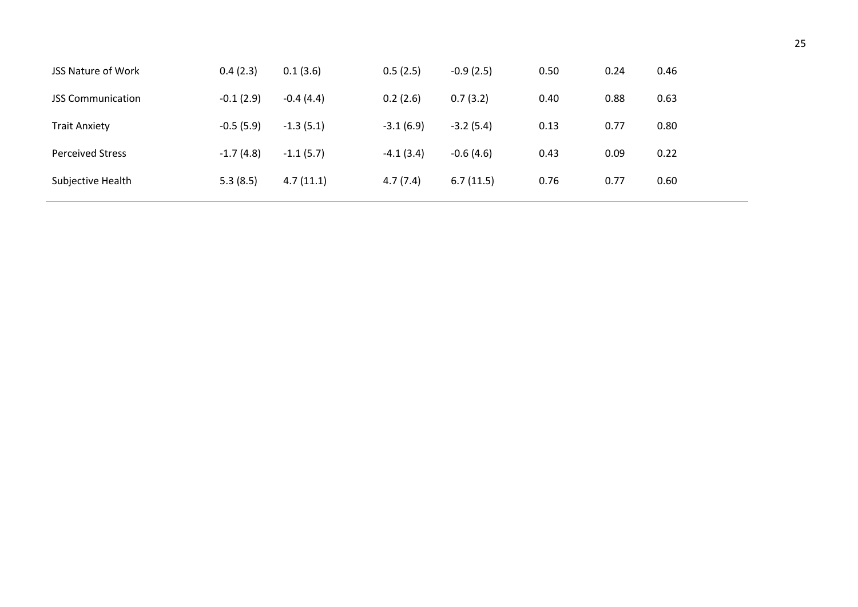| <b>JSS Nature of Work</b> | 0.4(2.3)    | 0.1(3.6)    | 0.5(2.5)    | $-0.9(2.5)$ | 0.50 | 0.24 | 0.46 |
|---------------------------|-------------|-------------|-------------|-------------|------|------|------|
| <b>JSS Communication</b>  | $-0.1(2.9)$ | $-0.4(4.4)$ | 0.2(2.6)    | 0.7(3.2)    | 0.40 | 0.88 | 0.63 |
| <b>Trait Anxiety</b>      | $-0.5(5.9)$ | $-1.3(5.1)$ | $-3.1(6.9)$ | $-3.2(5.4)$ | 0.13 | 0.77 | 0.80 |
| <b>Perceived Stress</b>   | $-1.7(4.8)$ | $-1.1(5.7)$ | $-4.1(3.4)$ | $-0.6(4.6)$ | 0.43 | 0.09 | 0.22 |
| Subjective Health         | 5.3(8.5)    | 4.7(11.1)   | 4.7(7.4)    | 6.7(11.5)   | 0.76 | 0.77 | 0.60 |
|                           |             |             |             |             |      |      |      |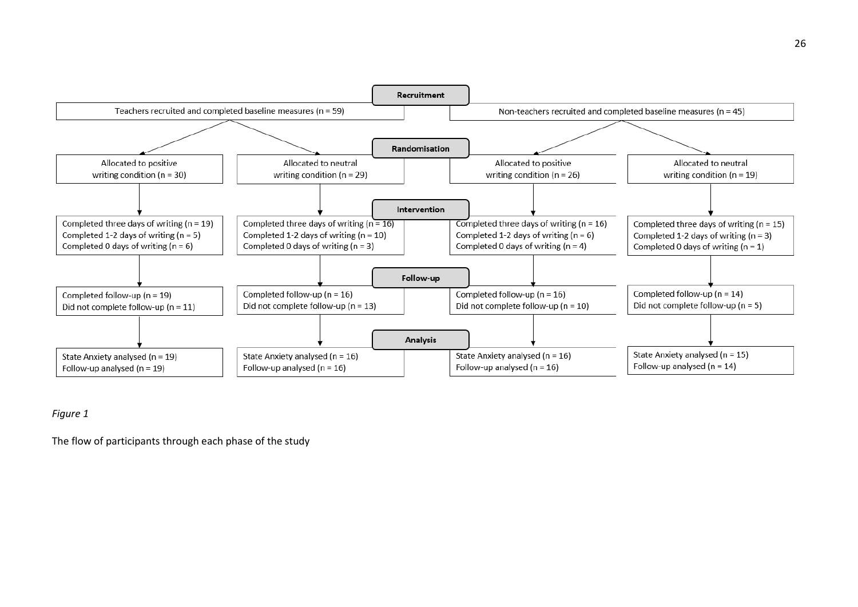

# *Figure 1*

The flow of participants through each phase of the study